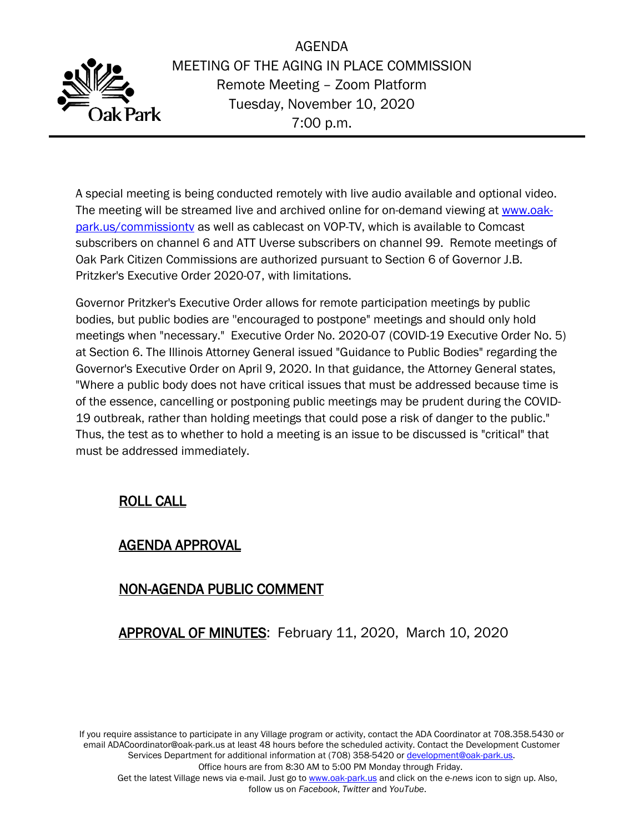

AGENDA MEETING OF THE AGING IN PLACE COMMISSION Remote Meeting – Zoom Platform Tuesday, November 10, 2020 7:00 p.m.

A special meeting is being conducted remotely with live audio available and optional video. The meeting will be streamed live and archived online for on-demand viewing at [www.oak](http://www.oak-park.us/commissiontv)[park.us/commissiontv](http://www.oak-park.us/commissiontv) as well as cablecast on VOP-TV, which is available to Comcast subscribers on channel 6 and ATT Uverse subscribers on channel 99. Remote meetings of Oak Park Citizen Commissions are authorized pursuant to Section 6 of Governor J.B. Pritzker's Executive Order 2020-07, with limitations.

Governor Pritzker's Executive Order allows for remote participation meetings by public bodies, but public bodies are ''encouraged to postpone" meetings and should only hold meetings when "necessary." Executive Order No. 2020-07 (COVID-19 Executive Order No. 5) at Section 6. The Illinois Attorney General issued "Guidance to Public Bodies" regarding the Governor's Executive Order on April 9, 2020. In that guidance, the Attorney General states, "Where a public body does not have critical issues that must be addressed because time is of the essence, cancelling or postponing public meetings may be prudent during the COVID-19 outbreak, rather than holding meetings that could pose a risk of danger to the public." Thus, the test as to whether to hold a meeting is an issue to be discussed is "critical" that must be addressed immediately.

# ROLL CALL

### AGENDA APPROVAL

# NON-AGENDA PUBLIC COMMENT

APPROVAL OF MINUTES: February 11, 2020, March 10, 2020

If you require assistance to participate in any Village program or activity, contact the ADA Coordinator at 708.358.5430 or email ADACoordinator@oak-park.us at least 48 hours before the scheduled activity. Contact the Development Customer Services Department for additional information at (708) 358-5420 or [development@oak-park.us.](mailto:development@oak-park.us)

Office hours are from 8:30 AM to 5:00 PM Monday through Friday.

Get the latest Village news via e-mail. Just go to [www.oak-park.us](http://www.oak-park.us/) and click on the *e-news* icon to sign up. Also, follow us on *Facebook*, *Twitter* and *YouTube*.